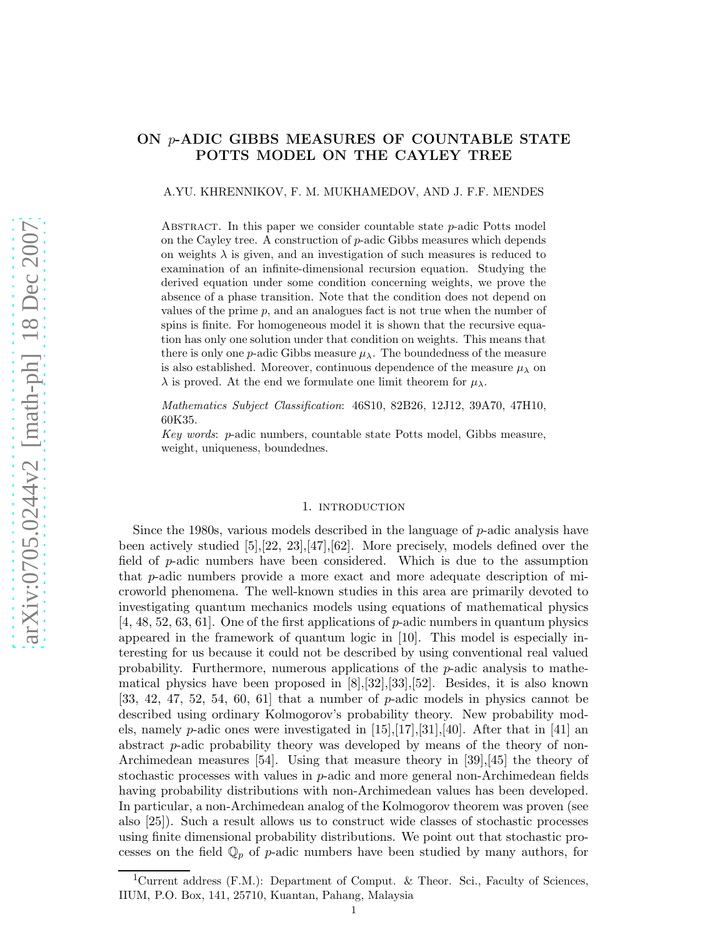# ON p-ADIC GIBBS MEASURES OF COUNTABLE STATE POTTS MODEL ON THE CAYLEY TREE

#### A.YU. KHRENNIKOV, F. M. MUKHAMEDOV, AND J. F.F. MENDES

ABSTRACT. In this paper we consider countable state  $p$ -adic Potts model on the Cayley tree. A construction of p-adic Gibbs measures which depends on weights  $\lambda$  is given, and an investigation of such measures is reduced to examination of an infinite-dimensional recursion equation. Studying the derived equation under some condition concerning weights, we prove the absence of a phase transition. Note that the condition does not depend on values of the prime  $p$ , and an analogues fact is not true when the number of spins is finite. For homogeneous model it is shown that the recursive equation has only one solution under that condition on weights. This means that there is only one p-adic Gibbs measure  $\mu_{\lambda}$ . The boundedness of the measure is also established. Moreover, continuous dependence of the measure  $\mu_{\lambda}$  on  $\lambda$  is proved. At the end we formulate one limit theorem for  $\mu_{\lambda}$ .

*Mathematics Subject Classification*: 46S10, 82B26, 12J12, 39A70, 47H10, 60K35.

*Key words*: p-adic numbers, countable state Potts model, Gibbs measure, weight, uniqueness, boundednes.

### 1. INTRODUCTION

Since the 1980s, various models described in the language of p-adic analysis have been actively studied [5],[22, 23],[47],[62]. More precisely, models defined over the field of p-adic numbers have been considered. Which is due to the assumption that p-adic numbers provide a more exact and more adequate description of microworld phenomena. The well-known studies in this area are primarily devoted to investigating quantum mechanics models using equations of mathematical physics [4, 48, 52, 63, 61]. One of the first applications of p-adic numbers in quantum physics appeared in the framework of quantum logic in [10]. This model is especially interesting for us because it could not be described by using conventional real valued probability. Furthermore, numerous applications of the p-adic analysis to mathematical physics have been proposed in [8],[32],[33],[52]. Besides, it is also known  $[33, 42, 47, 52, 54, 60, 61]$  that a number of p-adic models in physics cannot be described using ordinary Kolmogorov's probability theory. New probability models, namely *p*-adic ones were investigated in  $[15],[17],[31],[40]$ . After that in [41] an abstract p-adic probability theory was developed by means of the theory of non-Archimedean measures [54]. Using that measure theory in [39],[45] the theory of stochastic processes with values in  $p$ -adic and more general non-Archimedean fields having probability distributions with non-Archimedean values has been developed. In particular, a non-Archimedean analog of the Kolmogorov theorem was proven (see also [25]). Such a result allows us to construct wide classes of stochastic processes using finite dimensional probability distributions. We point out that stochastic processes on the field  $\mathbb{Q}_p$  of p-adic numbers have been studied by many authors, for

<sup>&</sup>lt;sup>1</sup>Current address (F.M.): Department of Comput. & Theor. Sci., Faculty of Sciences, IIUM, P.O. Box, 141, 25710, Kuantan, Pahang, Malaysia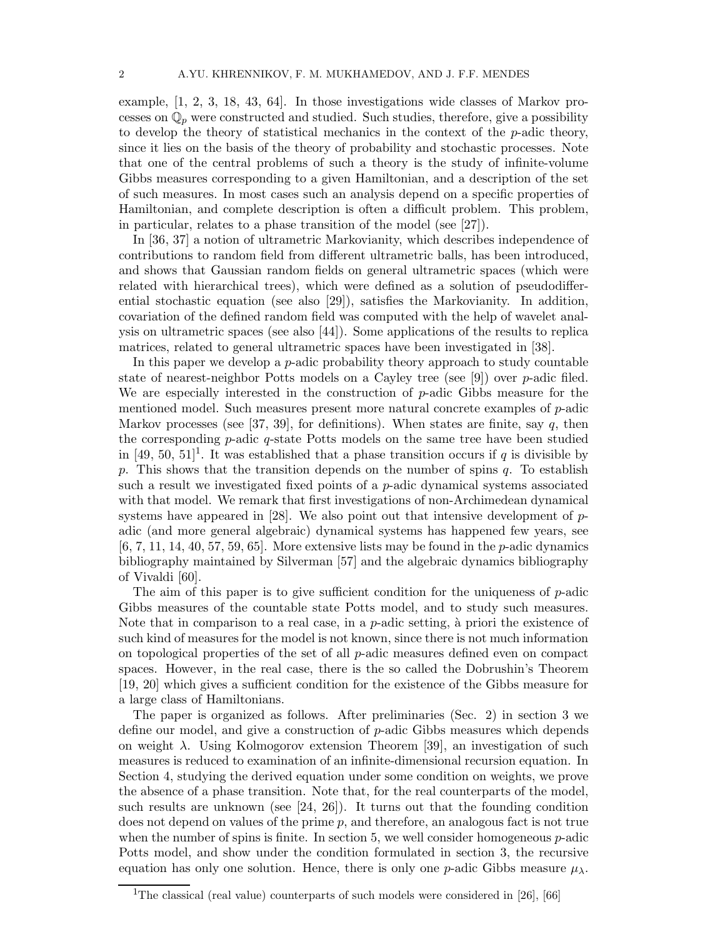example, [1, 2, 3, 18, 43, 64]. In those investigations wide classes of Markov processes on  $\mathbb{Q}_p$  were constructed and studied. Such studies, therefore, give a possibility to develop the theory of statistical mechanics in the context of the p-adic theory, since it lies on the basis of the theory of probability and stochastic processes. Note that one of the central problems of such a theory is the study of infinite-volume Gibbs measures corresponding to a given Hamiltonian, and a description of the set of such measures. In most cases such an analysis depend on a specific properties of Hamiltonian, and complete description is often a difficult problem. This problem, in particular, relates to a phase transition of the model (see [27]).

In [36, 37] a notion of ultrametric Markovianity, which describes independence of contributions to random field from different ultrametric balls, has been introduced, and shows that Gaussian random fields on general ultrametric spaces (which were related with hierarchical trees), which were defined as a solution of pseudodifferential stochastic equation (see also [29]), satisfies the Markovianity. In addition, covariation of the defined random field was computed with the help of wavelet analysis on ultrametric spaces (see also [44]). Some applications of the results to replica matrices, related to general ultrametric spaces have been investigated in [38].

In this paper we develop a p-adic probability theory approach to study countable state of nearest-neighbor Potts models on a Cayley tree (see [9]) over  $p$ -adic filed. We are especially interested in the construction of p-adic Gibbs measure for the mentioned model. Such measures present more natural concrete examples of p-adic Markov processes (see [37, 39], for definitions). When states are finite, say q, then the corresponding  $p$ -adic  $q$ -state Potts models on the same tree have been studied in [49, 50, 51]<sup>1</sup>. It was established that a phase transition occurs if q is divisible by p. This shows that the transition depends on the number of spins  $q$ . To establish such a result we investigated fixed points of a  $p$ -adic dynamical systems associated with that model. We remark that first investigations of non-Archimedean dynamical systems have appeared in [28]. We also point out that intensive development of  $p$ adic (and more general algebraic) dynamical systems has happened few years, see  $[6, 7, 11, 14, 40, 57, 59, 65]$ . More extensive lists may be found in the *p*-adic dynamics bibliography maintained by Silverman [57] and the algebraic dynamics bibliography of Vivaldi [60].

The aim of this paper is to give sufficient condition for the uniqueness of  $p$ -adic Gibbs measures of the countable state Potts model, and to study such measures. Note that in comparison to a real case, in a  $p$ -adic setting, à priori the existence of such kind of measures for the model is not known, since there is not much information on topological properties of the set of all p-adic measures defined even on compact spaces. However, in the real case, there is the so called the Dobrushin's Theorem [19, 20] which gives a sufficient condition for the existence of the Gibbs measure for a large class of Hamiltonians.

The paper is organized as follows. After preliminaries (Sec. 2) in section 3 we define our model, and give a construction of p-adic Gibbs measures which depends on weight  $\lambda$ . Using Kolmogorov extension Theorem [39], an investigation of such measures is reduced to examination of an infinite-dimensional recursion equation. In Section 4, studying the derived equation under some condition on weights, we prove the absence of a phase transition. Note that, for the real counterparts of the model, such results are unknown (see [24, 26]). It turns out that the founding condition does not depend on values of the prime  $p$ , and therefore, an analogous fact is not true when the number of spins is finite. In section 5, we well consider homogeneous  $p$ -adic Potts model, and show under the condition formulated in section 3, the recursive equation has only one solution. Hence, there is only one p-adic Gibbs measure  $\mu_{\lambda}$ .

<sup>&</sup>lt;sup>1</sup>The classical (real value) counterparts of such models were considered in [26], [66]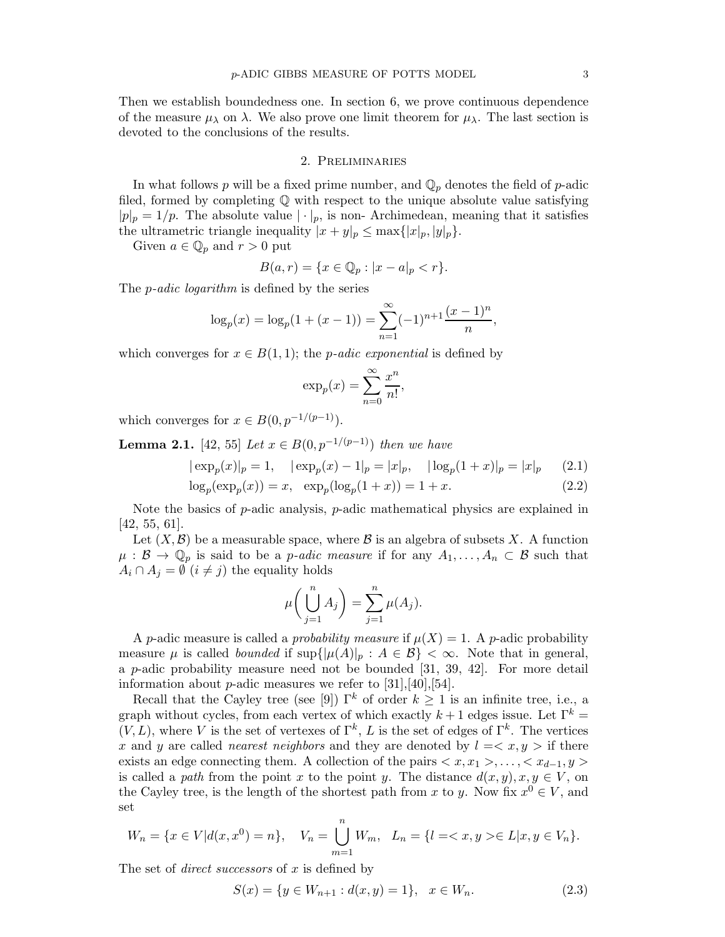Then we establish boundedness one. In section 6, we prove continuous dependence of the measure  $\mu_{\lambda}$  on  $\lambda$ . We also prove one limit theorem for  $\mu_{\lambda}$ . The last section is devoted to the conclusions of the results.

## 2. Preliminaries

In what follows p will be a fixed prime number, and  $\mathbb{Q}_p$  denotes the field of p-adic filed, formed by completing Q with respect to the unique absolute value satisfying  $|p|_p = 1/p$ . The absolute value  $|\cdot|_p$ , is non-Archimedean, meaning that it satisfies the ultrametric triangle inequality  $|x+y|_p \leq \max\{|x|_p, |y|_p\}.$ 

Given  $a \in \mathbb{Q}_p$  and  $r > 0$  put

$$
B(a,r) = \{ x \in \mathbb{Q}_p : |x - a|_p < r \}.
$$

The p*-adic logarithm* is defined by the series

$$
\log_p(x) = \log_p(1 + (x - 1)) = \sum_{n=1}^{\infty} (-1)^{n+1} \frac{(x - 1)^n}{n},
$$

which converges for  $x \in B(1,1)$ ; the *p-adic exponential* is defined by

$$
\exp_p(x) = \sum_{n=0}^{\infty} \frac{x^n}{n!},
$$

which converges for  $x \in B(0, p^{-1/(p-1)})$ .

**Lemma 2.1.** [42, 55] *Let*  $x \in B(0, p^{-1/(p-1)})$  *then we have* 

$$
|\exp_p(x)|_p = 1
$$
,  $|\exp_p(x) - 1|_p = |x|_p$ ,  $|\log_p(1+x)|_p = |x|_p$  (2.1)

$$
\log_p(\exp_p(x)) = x, \ \ \exp_p(\log_p(1+x)) = 1+x. \tag{2.2}
$$

Note the basics of  $p$ -adic analysis,  $p$ -adic mathematical physics are explained in [42, 55, 61].

Let  $(X,\mathcal{B})$  be a measurable space, where  $\mathcal{B}$  is an algebra of subsets X. A function  $\mu : \mathcal{B} \to \mathbb{Q}_p$  is said to be a *p-adic measure* if for any  $A_1, \ldots, A_n \subset \mathcal{B}$  such that  $A_i \cap A_j = \emptyset$   $(i \neq j)$  the equality holds

$$
\mu\bigg(\bigcup_{j=1}^n A_j\bigg) = \sum_{j=1}^n \mu(A_j).
$$

A p-adic measure is called a *probability measure* if  $\mu(X) = 1$ . A p-adic probability measure  $\mu$  is called *bounded* if  $\sup\{|\mu(A)|_p : A \in \mathcal{B}\} < \infty$ . Note that in general, a p-adic probability measure need not be bounded [31, 39, 42]. For more detail information about *p*-adic measures we refer to  $[31], [40], [54].$ 

Recall that the Cayley tree (see [9])  $\Gamma^k$  of order  $k \geq 1$  is an infinite tree, i.e., a graph without cycles, from each vertex of which exactly  $k+1$  edges issue. Let  $\Gamma^k$  $(V, L)$ , where V is the set of vertexes of  $\Gamma^k$ , L is the set of edges of  $\Gamma^k$ . The vertices x and y are called *nearest neighbors* and they are denoted by  $l = \langle x, y \rangle$  if there exists an edge connecting them. A collection of the pairs  $\langle x, x_1 \rangle, \ldots, \langle x_{d-1}, y \rangle$ is called a *path* from the point x to the point y. The distance  $d(x, y), x, y \in V$ , on the Cayley tree, is the length of the shortest path from x to y. Now fix  $x^0 \in V$ , and set

$$
W_n = \{ x \in V | d(x, x^0) = n \}, \quad V_n = \bigcup_{m=1}^n W_m, \quad L_n = \{ l = \langle x, y \rangle \in L | x, y \in V_n \}.
$$

The set of *direct successors* of x is defined by

$$
S(x) = \{ y \in W_{n+1} : d(x, y) = 1 \}, \quad x \in W_n.
$$
 (2.3)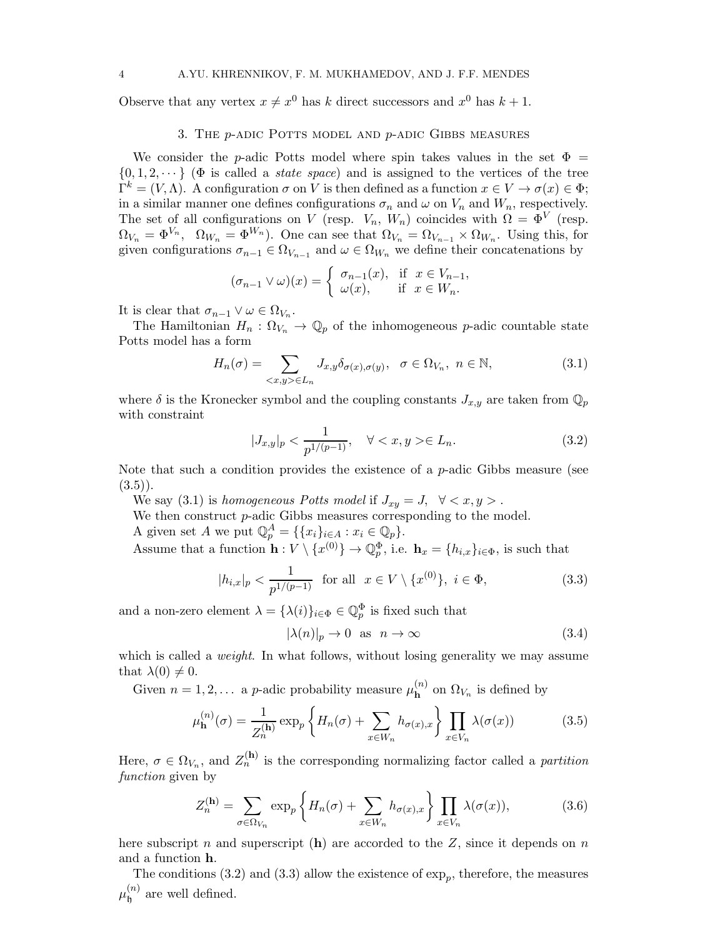Observe that any vertex  $x \neq x^0$  has k direct successors and  $x^0$  has  $k + 1$ .

### 3. THE  $p$ -ADIC POTTS MODEL AND  $p$ -ADIC GIBBS MEASURES

We consider the p-adic Potts model where spin takes values in the set  $\Phi =$  $\{0, 1, 2, \dots\}$  ( $\Phi$  is called a *state space*) and is assigned to the vertices of the tree  $\Gamma^k = (V, \Lambda)$ . A configuration  $\sigma$  on V is then defined as a function  $x \in V \to \sigma(x) \in \Phi$ ; in a similar manner one defines configurations  $\sigma_n$  and  $\omega$  on  $V_n$  and  $W_n$ , respectively. The set of all configurations on V (resp.  $V_n$ ,  $W_n$ ) coincides with  $\Omega = \Phi^V$  (resp.  $\Omega_{V_n} = \Phi^{V_n}$ ,  $\Omega_{W_n} = \Phi^{W_n}$ ). One can see that  $\Omega_{V_n} = \Omega_{V_{n-1}} \times \Omega_{W_n}$ . Using this, for given configurations  $\sigma_{n-1} \in \Omega_{V_{n-1}}$  and  $\omega \in \Omega_{W_n}$  we define their concatenations by

$$
(\sigma_{n-1} \vee \omega)(x) = \begin{cases} \sigma_{n-1}(x), & \text{if } x \in V_{n-1}, \\ \omega(x), & \text{if } x \in W_n. \end{cases}
$$

It is clear that  $\sigma_{n-1} \vee \omega \in \Omega_{V_n}$ .

The Hamiltonian  $H_n: \Omega_{V_n} \to \mathbb{Q}_p$  of the inhomogeneous p-adic countable state Potts model has a form

$$
H_n(\sigma) = \sum_{\langle x, y \rangle \in L_n} J_{x,y} \delta_{\sigma(x), \sigma(y)}, \quad \sigma \in \Omega_{V_n}, \ n \in \mathbb{N}, \tag{3.1}
$$

where  $\delta$  is the Kronecker symbol and the coupling constants  $J_{x,y}$  are taken from  $\mathbb{Q}_p$ with constraint

$$
|J_{x,y}|_p < \frac{1}{p^{1/(p-1)}}, \quad \forall  \in L_n.
$$
\n(3.2)

Note that such a condition provides the existence of a  $p$ -adic Gibbs measure (see  $(3.5)$ .

We say (3.1) is *homogeneous Potts model* if  $J_{xy} = J$ ,  $\forall \langle x, y \rangle$ .

We then construct *p*-adic Gibbs measures corresponding to the model.

A given set A we put  $\mathbb{Q}_p^A = \{ \{x_i\}_{i \in A} : x_i \in \mathbb{Q}_p \}.$ 

Assume that a function  $\mathbf{h}: V \setminus \{x^{(0)}\} \to \mathbb{Q}_p^{\Phi}$ , i.e.  $\mathbf{h}_x = \{h_{i,x}\}_{i \in \Phi}$ , is such that

$$
|h_{i,x}|_p < \frac{1}{p^{1/(p-1)}} \text{ for all } x \in V \setminus \{x^{(0)}\}, \ i \in \Phi,
$$
\n(3.3)

and a non-zero element  $\lambda = {\lambda(i)}_{i \in \Phi} \in \mathbb{Q}_p^{\Phi}$  is fixed such that

$$
|\lambda(n)|_p \to 0 \quad \text{as} \quad n \to \infty \tag{3.4}
$$

which is called a *weight*. In what follows, without losing generality we may assume that  $\lambda(0) \neq 0$ .

Given  $n = 1, 2, \ldots$  a p-adic probability measure  $\mu_{\mathbf{h}}^{(n)}$  on  $\Omega_{V_n}$  is defined by

$$
\mu_{\mathbf{h}}^{(n)}(\sigma) = \frac{1}{Z_n^{(\mathbf{h})}} \exp_p \left\{ H_n(\sigma) + \sum_{x \in W_n} h_{\sigma(x),x} \right\} \prod_{x \in V_n} \lambda(\sigma(x)) \tag{3.5}
$$

Here,  $\sigma \in \Omega_{V_n}$ , and  $Z_n^{(h)}$  is the corresponding normalizing factor called a *partition function* given by

$$
Z_n^{(\mathbf{h})} = \sum_{\sigma \in \Omega_{V_n}} \exp_p \left\{ H_n(\sigma) + \sum_{x \in W_n} h_{\sigma(x),x} \right\} \prod_{x \in V_n} \lambda(\sigma(x)), \tag{3.6}
$$

here subscript n and superscript (h) are accorded to the Z, since it depends on n and a function h.

The conditions (3.2) and (3.3) allow the existence of  $\exp_p$ , therefore, the measures  $\mu_\mathsf{h}^{(n)}$  $\int_{0}^{(n)}$  are well defined.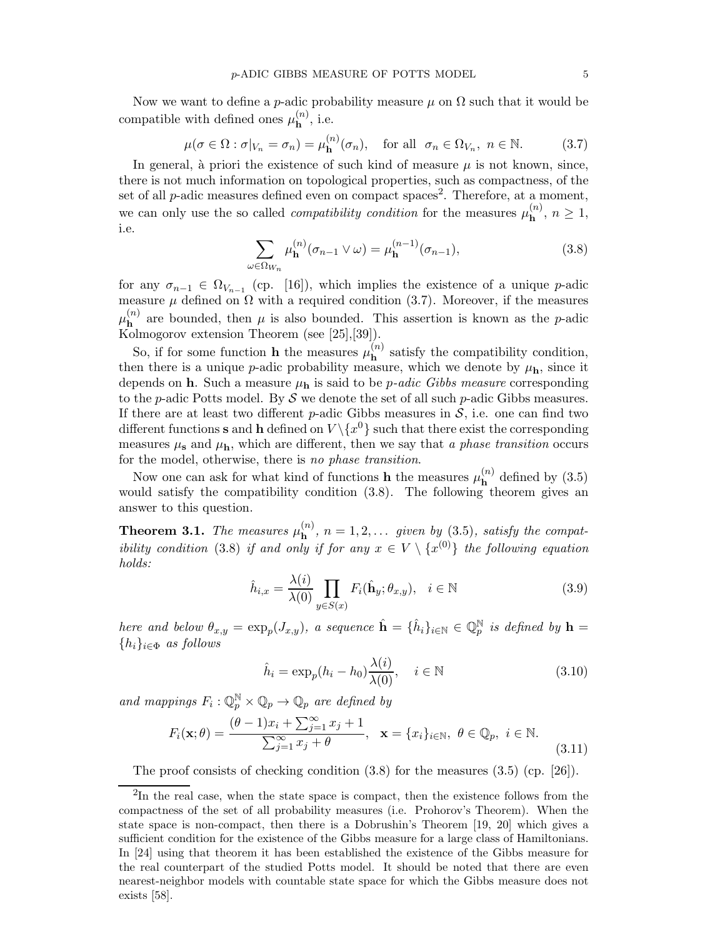Now we want to define a p-adic probability measure  $\mu$  on  $\Omega$  such that it would be compatible with defined ones  $\mu_{\mathbf{h}}^{(n)}$ , i.e.

$$
\mu(\sigma \in \Omega : \sigma|_{V_n} = \sigma_n) = \mu_{\mathbf{h}}^{(n)}(\sigma_n), \quad \text{for all} \ \sigma_n \in \Omega_{V_n}, \ n \in \mathbb{N}.
$$
 (3.7)

In general, à priori the existence of such kind of measure  $\mu$  is not known, since, there is not much information on topological properties, such as compactness, of the set of all  $p$ -adic measures defined even on compact spaces<sup>2</sup>. Therefore, at a moment, we can only use the so called *compatibility condition* for the measures  $\mu_{\mathbf{h}}^{(n)}$ ,  $n \geq 1$ , i.e.

$$
\sum_{\omega \in \Omega_{W_n}} \mu_{\mathbf{h}}^{(n)}(\sigma_{n-1} \vee \omega) = \mu_{\mathbf{h}}^{(n-1)}(\sigma_{n-1}),
$$
\n(3.8)

for any  $\sigma_{n-1} \in \Omega_{V_{n-1}}$  (cp. [16]), which implies the existence of a unique p-adic measure  $\mu$  defined on  $\Omega$  with a required condition (3.7). Moreover, if the measures  $\mu_{\bf h}^{(n)}$  are bounded, then  $\mu$  is also bounded. This assertion is known as the p-adic Kolmogorov extension Theorem (see [25],[39]).

So, if for some function **h** the measures  $\mu_{h}^{(n)}$  satisfy the compatibility condition, then there is a unique p-adic probability measure, which we denote by  $\mu_{h}$ , since it depends on  $h$ . Such a measure  $\mu_h$  is said to be *p-adic Gibbs measure* corresponding to the p-adic Potts model. By  $S$  we denote the set of all such p-adic Gibbs measures. If there are at least two different p-adic Gibbs measures in  $S$ , i.e. one can find two different functions **s** and **h** defined on  $V \setminus \{x^0\}$  such that there exist the corresponding measures  $\mu_s$  and  $\mu_h$ , which are different, then we say that *a phase transition* occurs for the model, otherwise, there is *no phase transition*.

Now one can ask for what kind of functions **h** the measures  $\mu_{\mathbf{h}}^{(n)}$  defined by (3.5) would satisfy the compatibility condition (3.8). The following theorem gives an answer to this question.

**Theorem 3.1.** The measures  $\mu_{h}^{(n)}$ ,  $n = 1, 2, \ldots$  given by (3.5), satisfy the compat*ibility condition* (3.8) *if and only if for any*  $x \in V \setminus \{x^{(0)}\}$  *the following equation holds:*

$$
\hat{h}_{i,x} = \frac{\lambda(i)}{\lambda(0)} \prod_{y \in S(x)} F_i(\hat{\mathbf{h}}_y; \theta_{x,y}), \quad i \in \mathbb{N}
$$
\n(3.9)

*here and below*  $\theta_{x,y} = \exp_p(J_{x,y})$ *, a sequence*  $\hat{\mathbf{h}} = {\hat{h}_i}_{i \in \mathbb{N}} \in \mathbb{Q}_p^{\mathbb{N}}$  *is defined by*  $\mathbf{h} =$ {hi}i∈<sup>Φ</sup> *as follows*

$$
\hat{h}_i = \exp_p(h_i - h_0) \frac{\lambda(i)}{\lambda(0)}, \quad i \in \mathbb{N}
$$
\n(3.10)

and mappings  $F_i: \mathbb{Q}_p^{\mathbb{N}} \times \mathbb{Q}_p \to \mathbb{Q}_p$  are defined by

$$
F_i(\mathbf{x};\theta) = \frac{(\theta - 1)x_i + \sum_{j=1}^{\infty} x_j + 1}{\sum_{j=1}^{\infty} x_j + \theta}, \quad \mathbf{x} = \{x_i\}_{i \in \mathbb{N}}, \ \theta \in \mathbb{Q}_p, \ i \in \mathbb{N}.
$$
\n(3.11)

The proof consists of checking condition  $(3.8)$  for the measures  $(3.5)$  (cp. [26]).

<sup>&</sup>lt;sup>2</sup>In the real case, when the state space is compact, then the existence follows from the compactness of the set of all probability measures (i.e. Prohorov's Theorem). When the state space is non-compact, then there is a Dobrushin's Theorem [19, 20] which gives a sufficient condition for the existence of the Gibbs measure for a large class of Hamiltonians. In [24] using that theorem it has been established the existence of the Gibbs measure for the real counterpart of the studied Potts model. It should be noted that there are even nearest-neighbor models with countable state space for which the Gibbs measure does not exists [58].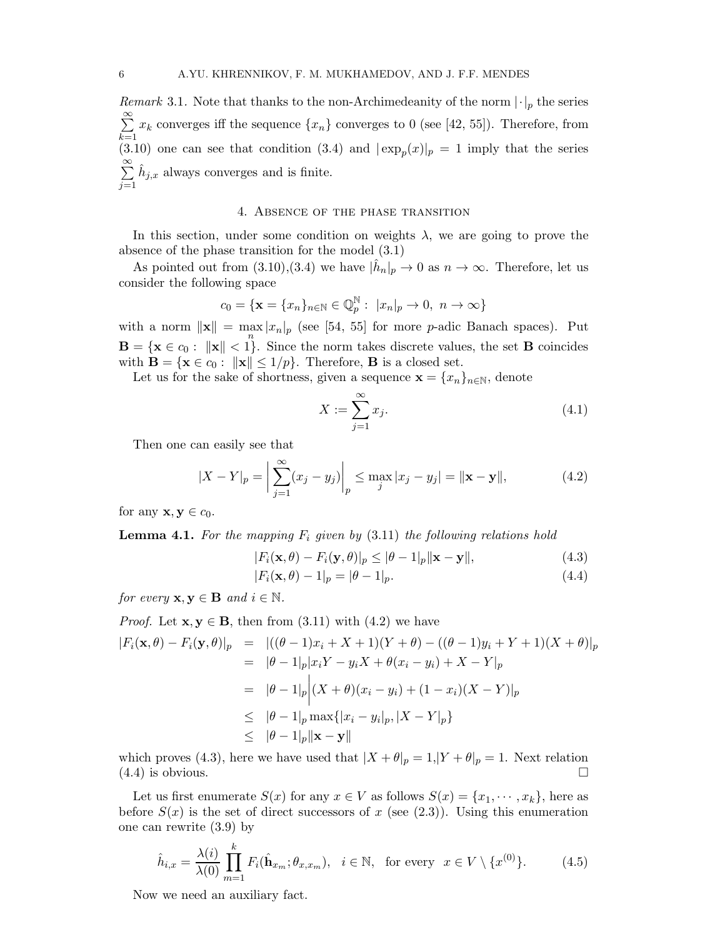*Remark* 3.1. Note that thanks to the non-Archimedeanity of the norm  $|\cdot|_p$  the series  $\sum^{\infty}$  $_{k=1}$  $x_k$  converges iff the sequence  $\{x_n\}$  converges to 0 (see [42, 55]). Therefore, from (3.10) one can see that condition (3.4) and  $|\exp_p(x)|_p = 1$  imply that the series  $\sum^{\infty}$  $j=1$  $\hat{h}_{j,x}$  always converges and is finite.

### 4. Absence of the phase transition

In this section, under some condition on weights  $\lambda$ , we are going to prove the absence of the phase transition for the model (3.1)

As pointed out from  $(3.10),(3.4)$  we have  $|\hat{h}_n|_p \to 0$  as  $n \to \infty$ . Therefore, let us consider the following space

$$
c_0 = \{ \mathbf{x} = \{x_n\}_{n \in \mathbb{N}} \in \mathbb{Q}_p^{\mathbb{N}} : \ |x_n|_p \to 0, \ n \to \infty \}
$$

with a norm  $\|\mathbf{x}\| = \max_{n} |x_n|_p$  (see [54, 55] for more *p*-adic Banach spaces). Put  $\mathbf{B} = \{ \mathbf{x} \in c_0 : ||\mathbf{x}|| < 1 \}.$  Since the norm takes discrete values, the set **B** coincides with  $\mathbf{B} = \{ \mathbf{x} \in c_0 : ||\mathbf{x}|| \leq 1/p \}.$  Therefore, **B** is a closed set.

Let us for the sake of shortness, given a sequence  $\mathbf{x} = \{x_n\}_{n \in \mathbb{N}}$ , denote

$$
X := \sum_{j=1}^{\infty} x_j.
$$
\n
$$
(4.1)
$$

Then one can easily see that

$$
|X - Y|_p = \left| \sum_{j=1}^{\infty} (x_j - y_j) \right|_p \le \max_j |x_j - y_j| = ||\mathbf{x} - \mathbf{y}||,\tag{4.2}
$$

for any  $\mathbf{x}, \mathbf{y} \in c_0$ .

**Lemma 4.1.** For the mapping  $F_i$  given by  $(3.11)$  the following relations hold

$$
|F_i(\mathbf{x}, \theta) - F_i(\mathbf{y}, \theta)|_p \le |\theta - 1|_p \|\mathbf{x} - \mathbf{y}\|,\tag{4.3}
$$

$$
|F_i(\mathbf{x}, \theta) - 1|_p = |\theta - 1|_p. \tag{4.4}
$$

*for every*  $\mathbf{x}, \mathbf{y} \in \mathbf{B}$  *and*  $i \in \mathbb{N}$ *.* 

Proof. Let 
$$
\mathbf{x}, \mathbf{y} \in \mathbf{B}
$$
, then from (3.11) with (4.2) we have  
\n
$$
|F_i(\mathbf{x}, \theta) - F_i(\mathbf{y}, \theta)|_p = |((\theta - 1)x_i + X + 1)(Y + \theta) - ((\theta - 1)y_i + Y + 1)(X + \theta)|_p
$$
\n
$$
= |\theta - 1|_p |x_i Y - y_i X + \theta(x_i - y_i) + X - Y|_p
$$
\n
$$
= |\theta - 1|_p |(X + \theta)(x_i - y_i) + (1 - x_i)(X - Y)|_p
$$
\n
$$
\leq |\theta - 1|_p \max\{|x_i - y_i|_p, |X - Y|_p\}
$$
\n
$$
\leq |\theta - 1|_p \|\mathbf{x} - \mathbf{y}\|
$$

which proves (4.3), here we have used that  $|X + \theta|_p = 1$ ,  $|Y + \theta|_p = 1$ . Next relation  $(4.4)$  is obvious.

Let us first enumerate  $S(x)$  for any  $x \in V$  as follows  $S(x) = \{x_1, \dots, x_k\}$ , here as before  $S(x)$  is the set of direct successors of x (see (2.3)). Using this enumeration one can rewrite (3.9) by

$$
\hat{h}_{i,x} = \frac{\lambda(i)}{\lambda(0)} \prod_{m=1}^{k} F_i(\hat{\mathbf{h}}_{x_m}; \theta_{x,x_m}), \quad i \in \mathbb{N}, \text{ for every } x \in V \setminus \{x^{(0)}\}. \tag{4.5}
$$

Now we need an auxiliary fact.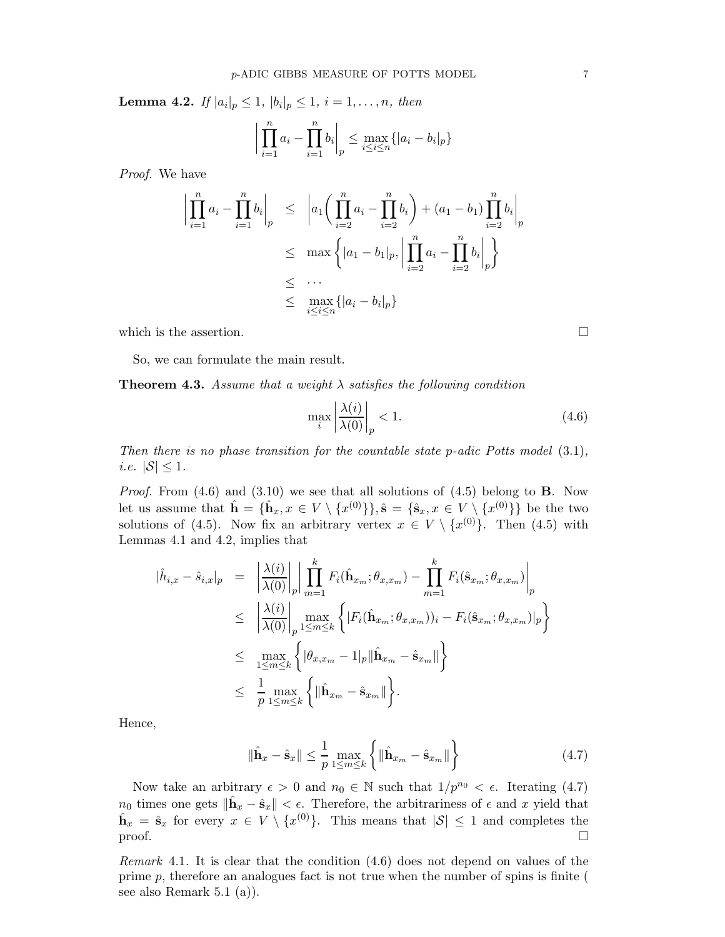**Lemma 4.2.** If  $|a_i|_p \leq 1$ ,  $|b_i|_p \leq 1$ ,  $i = 1, ..., n$ , then

$$
\left| \prod_{i=1}^{n} a_i - \prod_{i=1}^{n} b_i \right|_p \le \max_{i \le i \le n} \{ |a_i - b_i|_p \}
$$

*Proof.* We have

$$
\left| \prod_{i=1}^{n} a_i - \prod_{i=1}^{n} b_i \right|_p \le \left| a_1 \left( \prod_{i=2}^{n} a_i - \prod_{i=2}^{n} b_i \right) + (a_1 - b_1) \prod_{i=2}^{n} b_i \right|_p
$$
  
\n
$$
\le \max \left\{ |a_1 - b_1|_p, \left| \prod_{i=2}^{n} a_i - \prod_{i=2}^{n} b_i \right|_p \right\}
$$
  
\n
$$
\le \dots
$$
  
\n
$$
\le \max_{i \le i \le n} \left\{ |a_i - b_i|_p \right\}
$$

which is the assertion.  $\Box$ 

So, we can formulate the main result.

Theorem 4.3. *Assume that a weight* λ *satisfies the following condition*

$$
\max_{i} \left| \frac{\lambda(i)}{\lambda(0)} \right|_{p} < 1. \tag{4.6}
$$

*Then there is no phase transition for the countable state p-adic Potts model*  $(3.1)$ *, i.e.*  $|\mathcal{S}| \leq 1$ *.* 

*Proof.* From (4.6) and (3.10) we see that all solutions of (4.5) belong to **B**. Now let us assume that  $\hat{\mathbf{h}} = \{\hat{\mathbf{h}}_x, x \in V \setminus \{x^{(0)}\}\}, \hat{\mathbf{s}} = \{\hat{\mathbf{s}}_x, x \in V \setminus \{x^{(0)}\}\}\$ be the two solutions of (4.5). Now fix an arbitrary vertex  $x \in V \setminus \{x^{(0)}\}$ . Then (4.5) with Lemmas 4.1 and 4.2, implies that

$$
\begin{split}\n|\hat{h}_{i,x} - \hat{s}_{i,x}|_p &= \left| \frac{\lambda(i)}{\lambda(0)} \right|_p \left| \prod_{m=1}^k F_i(\hat{\mathbf{h}}_{x_m}; \theta_{x,x_m}) - \prod_{m=1}^k F_i(\hat{\mathbf{s}}_{x_m}; \theta_{x,x_m}) \right|_p \\
&\leq \left| \frac{\lambda(i)}{\lambda(0)} \right|_p \max_{1 \leq m \leq k} \left\{ |F_i(\hat{\mathbf{h}}_{x_m}; \theta_{x,x_m}))_i - F_i(\hat{\mathbf{s}}_{x_m}; \theta_{x,x_m})|_p \right\} \\
&\leq \max_{1 \leq m \leq k} \left\{ |\theta_{x,x_m} - 1|_p ||\hat{\mathbf{h}}_{x_m} - \hat{\mathbf{s}}_{x_m}|| \right\} \\
&\leq \frac{1}{p} \max_{1 \leq m \leq k} \left\{ ||\hat{\mathbf{h}}_{x_m} - \hat{\mathbf{s}}_{x_m}|| \right\}.\n\end{split}
$$

Hence,

$$
\|\hat{\mathbf{h}}_x - \hat{\mathbf{s}}_x\| \le \frac{1}{p} \max_{1 \le m \le k} \left\{ \|\hat{\mathbf{h}}_{x_m} - \hat{\mathbf{s}}_{x_m}\| \right\} \tag{4.7}
$$

Now take an arbitrary  $\epsilon > 0$  and  $n_0 \in \mathbb{N}$  such that  $1/p^{n_0} < \epsilon$ . Iterating (4.7)  $n_0$  times one gets  $\|\hat{\mathbf{h}}_x - \hat{\mathbf{s}}_x\| < \epsilon$ . Therefore, the arbitrariness of  $\epsilon$  and x yield that  $\hat{\mathbf{h}}_x = \hat{\mathbf{s}}_x$  for every  $x \in V \setminus \{x^{(0)}\}$ . This means that  $|\mathcal{S}| \leq 1$  and completes the  $\Box$ 

*Remark* 4.1*.* It is clear that the condition (4.6) does not depend on values of the prime  $p$ , therefore an analogues fact is not true when the number of spins is finite ( see also Remark 5.1 (a)).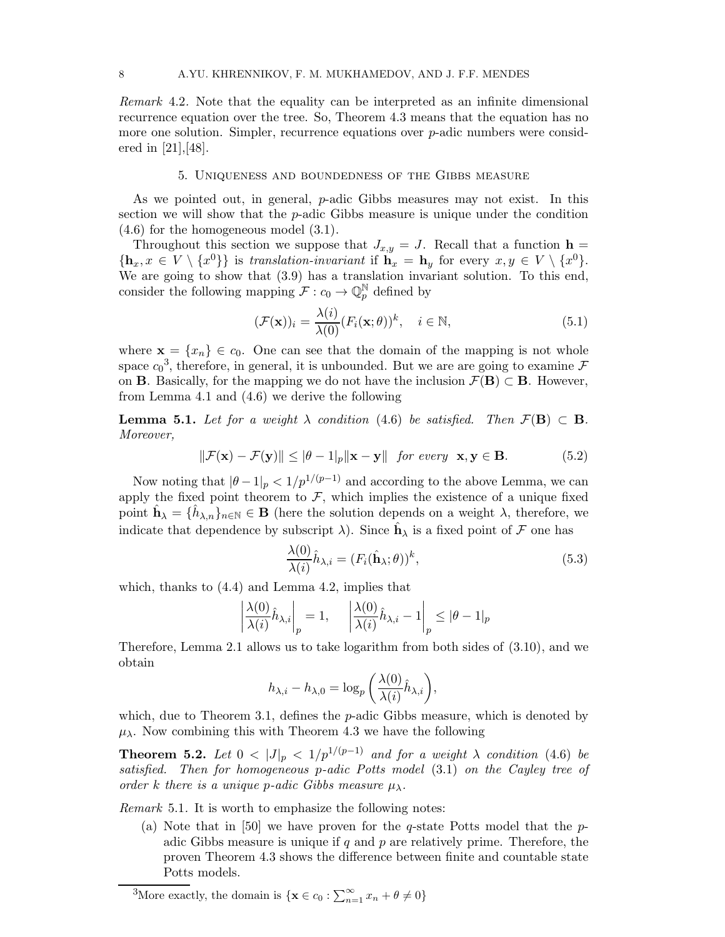*Remark* 4.2*.* Note that the equality can be interpreted as an infinite dimensional recurrence equation over the tree. So, Theorem 4.3 means that the equation has no more one solution. Simpler, recurrence equations over p-adic numbers were considered in [21],[48].

### 5. Uniqueness and boundedness of the Gibbs measure

As we pointed out, in general, p-adic Gibbs measures may not exist. In this section we will show that the p-adic Gibbs measure is unique under the condition (4.6) for the homogeneous model (3.1).

Throughout this section we suppose that  $J_{x,y} = J$ . Recall that a function  $h =$  $\{\mathbf h_x, x \in V \setminus \{x^0\}\}\$ is *translation-invariant* if  $\mathbf h_x = \mathbf h_y$  for every  $x, y \in V \setminus \{x^0\}.$ We are going to show that (3.9) has a translation invariant solution. To this end, consider the following mapping  $\mathcal{F}: c_0 \to \mathbb{Q}_p^{\mathbb{N}}$  defined by

$$
(\mathcal{F}(\mathbf{x}))_i = \frac{\lambda(i)}{\lambda(0)} (F_i(\mathbf{x}; \theta))^k, \quad i \in \mathbb{N},
$$
\n(5.1)

where  $\mathbf{x} = \{x_n\} \in c_0$ . One can see that the domain of the mapping is not whole space  $c_0^3$ , therefore, in general, it is unbounded. But we are are going to examine  $\mathcal F$ on **B**. Basically, for the mapping we do not have the inclusion  $\mathcal{F}(\mathbf{B}) \subset \mathbf{B}$ . However, from Lemma 4.1 and (4.6) we derive the following

**Lemma 5.1.** *Let for a weight*  $\lambda$  *condition* (4.6) *be satisfied. Then*  $\mathcal{F}(\mathbf{B}) \subset \mathbf{B}$ *. Moreover,*

$$
\|\mathcal{F}(\mathbf{x}) - \mathcal{F}(\mathbf{y})\| \le |\theta - 1|_p \|\mathbf{x} - \mathbf{y}\| \quad \text{for every} \quad \mathbf{x}, \mathbf{y} \in \mathbf{B}.\tag{5.2}
$$

Now noting that  $|\theta - 1|_p < 1/p^{1/(p-1)}$  and according to the above Lemma, we can apply the fixed point theorem to  $\mathcal{F}$ , which implies the existence of a unique fixed point  $\hat{\mathbf{h}}_{\lambda} = \{\hat{h}_{\lambda,n}\}_{n\in\mathbb{N}} \in \mathbf{B}$  (here the solution depends on a weight  $\lambda$ , therefore, we indicate that dependence by subscript  $\lambda$ ). Since  $\hat{\mathbf{h}}_{\lambda}$  is a fixed point of  $\mathcal F$  one has

$$
\frac{\lambda(0)}{\lambda(i)}\hat{h}_{\lambda,i} = (F_i(\hat{\mathbf{h}}_{\lambda};\theta))^k,
$$
\n(5.3)

which, thanks to (4.4) and Lemma 4.2, implies that

$$
\left| \frac{\lambda(0)}{\lambda(i)} \hat{h}_{\lambda,i} \right|_p = 1, \quad \left| \frac{\lambda(0)}{\lambda(i)} \hat{h}_{\lambda,i} - 1 \right|_p \leq |\theta - 1|_p
$$

Therefore, Lemma 2.1 allows us to take logarithm from both sides of (3.10), and we obtain

$$
h_{\lambda,i} - h_{\lambda,0} = \log_p \left( \frac{\lambda(0)}{\lambda(i)} \hat{h}_{\lambda,i} \right),
$$

which, due to Theorem 3.1, defines the  $p$ -adic Gibbs measure, which is denoted by  $\mu_{\lambda}$ . Now combining this with Theorem 4.3 we have the following

**Theorem 5.2.** *Let*  $0 < |J|_p < 1/p^{1/(p-1)}$  *and for a weight*  $\lambda$  *condition* (4.6) *be satisfied. Then for homogeneous* p*-adic Potts model* (3.1) *on the Cayley tree of order* k *there is a unique p-adic Gibbs measure*  $\mu_{\lambda}$ *.* 

*Remark* 5.1*.* It is worth to emphasize the following notes:

(a) Note that in [50] we have proven for the q-state Potts model that the  $p$ adic Gibbs measure is unique if q and p are relatively prime. Therefore, the proven Theorem 4.3 shows the difference between finite and countable state Potts models.

<sup>&</sup>lt;sup>3</sup>More exactly, the domain is  $\{ \mathbf{x} \in c_0 : \sum_{n=1}^{\infty} x_n + \theta \neq 0 \}$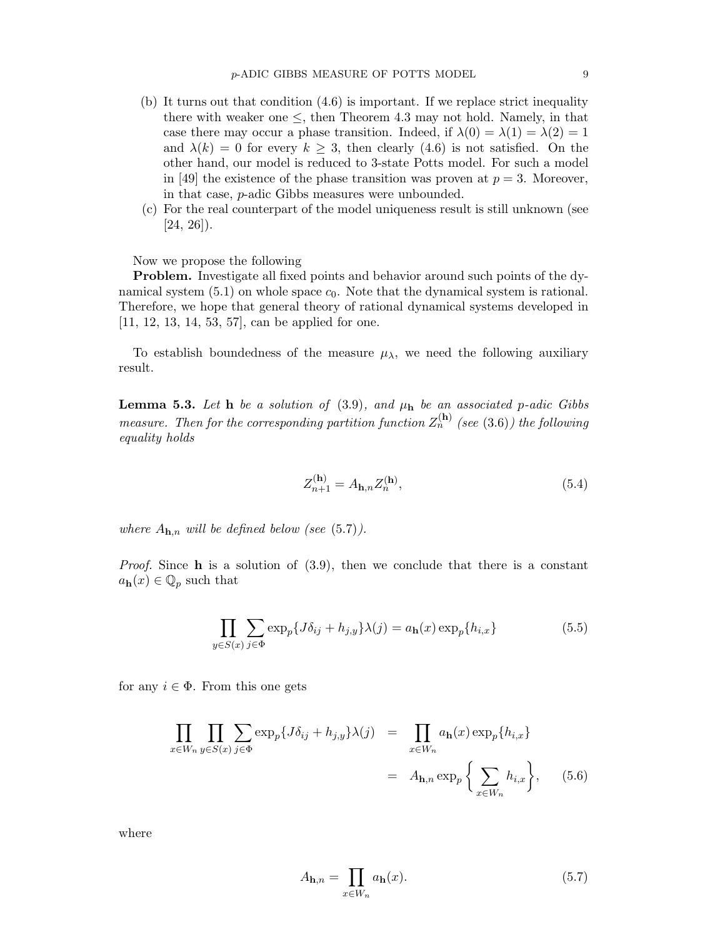- (b) It turns out that condition (4.6) is important. If we replace strict inequality there with weaker one  $\leq$ , then Theorem 4.3 may not hold. Namely, in that case there may occur a phase transition. Indeed, if  $\lambda(0) = \lambda(1) = \lambda(2) = 1$ and  $\lambda(k) = 0$  for every  $k \geq 3$ , then clearly (4.6) is not satisfied. On the other hand, our model is reduced to 3-state Potts model. For such a model in [49] the existence of the phase transition was proven at  $p = 3$ . Moreover, in that case, p-adic Gibbs measures were unbounded.
- (c) For the real counterpart of the model uniqueness result is still unknown (see  $[24, 26]$ .

Now we propose the following

Problem. Investigate all fixed points and behavior around such points of the dynamical system (5.1) on whole space  $c_0$ . Note that the dynamical system is rational. Therefore, we hope that general theory of rational dynamical systems developed in [11, 12, 13, 14, 53, 57], can be applied for one.

To establish boundedness of the measure  $\mu_{\lambda}$ , we need the following auxiliary result.

**Lemma 5.3.** Let **h** be a solution of  $(3.9)$ *, and*  $\mu$ **h** be an associated p-adic Gibbs *measure. Then for the corresponding partition function*  $Z_n^{(h)}$  (see (3.6)) the following *equality holds*

$$
Z_{n+1}^{(\mathbf{h})} = A_{\mathbf{h},n} Z_n^{(\mathbf{h})},\tag{5.4}
$$

*where*  $A_{\mathbf{h},n}$  *will be defined below (see (5.7)).* 

*Proof.* Since **h** is a solution of  $(3.9)$ , then we conclude that there is a constant  $a_{\mathbf{h}}(x) \in \mathbb{Q}_p$  such that

$$
\prod_{y \in S(x)} \sum_{j \in \Phi} \exp_p \{ J \delta_{ij} + h_{j,y} \} \lambda(j) = a_{\mathbf{h}}(x) \exp_p \{ h_{i,x} \}
$$
(5.5)

for any  $i \in \Phi$ . From this one gets

$$
\prod_{x \in W_n} \prod_{y \in S(x)} \sum_{j \in \Phi} \exp_p \{ J \delta_{ij} + h_{j,y} \} \lambda(j) = \prod_{x \in W_n} a_{\mathbf{h}}(x) \exp_p \{ h_{i,x} \}
$$
\n
$$
= A_{\mathbf{h},n} \exp_p \left\{ \sum_{x \in W_n} h_{i,x} \right\}, \quad (5.6)
$$

where

$$
A_{\mathbf{h},n} = \prod_{x \in W_n} a_{\mathbf{h}}(x). \tag{5.7}
$$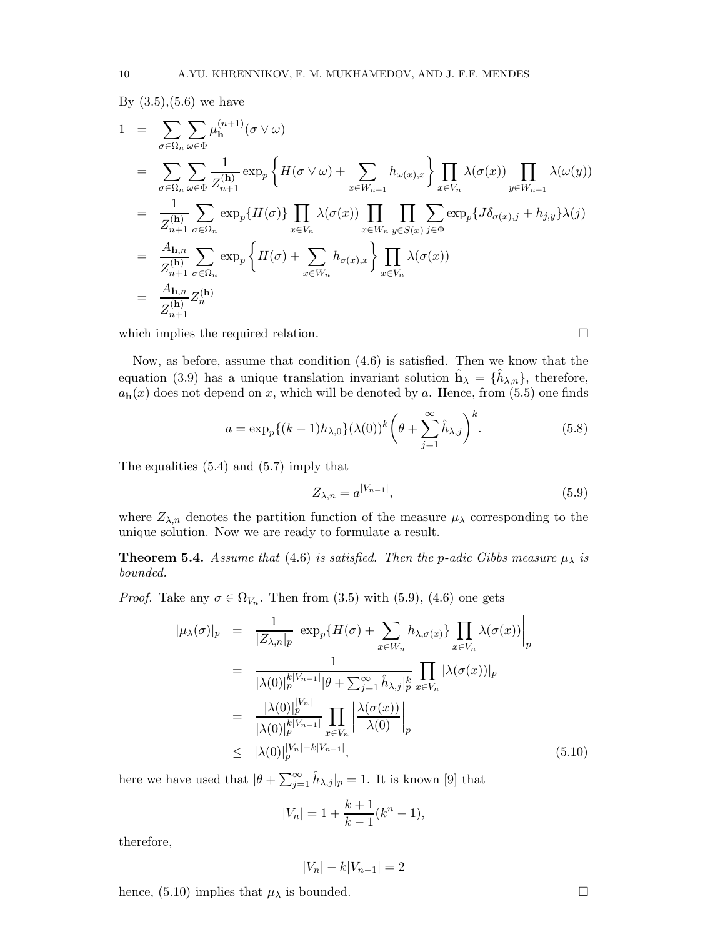By  $(3.5),(5.6)$  we have

$$
1 = \sum_{\sigma \in \Omega_n} \sum_{\omega \in \Phi} \mu_{\mathbf{h}}^{(n+1)}(\sigma \vee \omega)
$$
  
\n
$$
= \sum_{\sigma \in \Omega_n} \sum_{\omega \in \Phi} \frac{1}{Z_{n+1}^{(\mathbf{h})}} \exp_p \left\{ H(\sigma \vee \omega) + \sum_{x \in W_{n+1}} h_{\omega(x),x} \right\} \prod_{x \in V_n} \lambda(\sigma(x)) \prod_{y \in W_{n+1}} \lambda(\omega(y))
$$
  
\n
$$
= \frac{1}{Z_{n+1}^{(\mathbf{h})}} \sum_{\sigma \in \Omega_n} \exp_p \{ H(\sigma) \} \prod_{x \in V_n} \lambda(\sigma(x)) \prod_{x \in W_n} \prod_{y \in S(x)} \sum_{j \in \Phi} \exp_p \{ J \delta_{\sigma(x),j} + h_{j,y} \} \lambda(j)
$$
  
\n
$$
= \frac{A_{\mathbf{h},n}}{Z_{n+1}^{(\mathbf{h})}} \sum_{\sigma \in \Omega_n} \exp_p \left\{ H(\sigma) + \sum_{x \in W_n} h_{\sigma(x),x} \right\} \prod_{x \in V_n} \lambda(\sigma(x))
$$
  
\n
$$
= \frac{A_{\mathbf{h},n}}{Z_{n+1}^{(\mathbf{h})}} Z_n^{(\mathbf{h})}
$$

which implies the required relation.  $\Box$ 

Now, as before, assume that condition (4.6) is satisfied. Then we know that the equation (3.9) has a unique translation invariant solution  $\hat{\mathbf{h}}_{\lambda} = \{\hat{h}_{\lambda,n}\},\$  therefore,  $a_{h}(x)$  does not depend on x, which will be denoted by a. Hence, from (5.5) one finds

$$
a = \exp_p\{(k-1)h_{\lambda,0}\}(\lambda(0))^k \left(\theta + \sum_{j=1}^{\infty} \hat{h}_{\lambda,j}\right)^k.
$$
 (5.8)

The equalities (5.4) and (5.7) imply that

$$
Z_{\lambda,n} = a^{|V_{n-1}|},\tag{5.9}
$$

where  $Z_{\lambda,n}$  denotes the partition function of the measure  $\mu_{\lambda}$  corresponding to the unique solution. Now we are ready to formulate a result.

**Theorem 5.4.** Assume that (4.6) is satisfied. Then the p-adic Gibbs measure  $\mu_{\lambda}$  is *bounded.*

*Proof.* Take any  $\sigma \in \Omega_{V_n}$ . Then from (3.5) with (5.9), (4.6) one gets

$$
|\mu_{\lambda}(\sigma)|_{p} = \frac{1}{|Z_{\lambda,n}|_{p}} \left| \exp_{p}\{H(\sigma) + \sum_{x \in W_{n}} h_{\lambda,\sigma(x)}\} \prod_{x \in V_{n}} \lambda(\sigma(x)) \right|_{p}
$$
  
\n
$$
= \frac{1}{|\lambda(0)|_{p}^{k|V_{n-1}|} |\theta + \sum_{j=1}^{\infty} \hat{h}_{\lambda,j}|_{p}^{k}} \prod_{x \in V_{n}} |\lambda(\sigma(x))|_{p}
$$
  
\n
$$
= \frac{|\lambda(0)|_{p}^{|V_{n}|}}{|\lambda(0)|_{p}^{k|V_{n-1}|}} \prod_{x \in V_{n}} \left| \frac{\lambda(\sigma(x))}{\lambda(0)} \right|_{p}
$$
  
\n
$$
\leq |\lambda(0)|_{p}^{|V_{n}| - k|V_{n-1}|}, \qquad (5.10)
$$

here we have used that  $|\theta + \sum_{j=1}^{\infty} \hat{h}_{\lambda,j}|_p = 1$ . It is known [9] that

$$
|V_n| = 1 + \frac{k+1}{k-1}(k^n - 1),
$$

therefore,

$$
|V_n| - k|V_{n-1}| = 2
$$

hence, (5.10) implies that  $\mu_{\lambda}$  is bounded.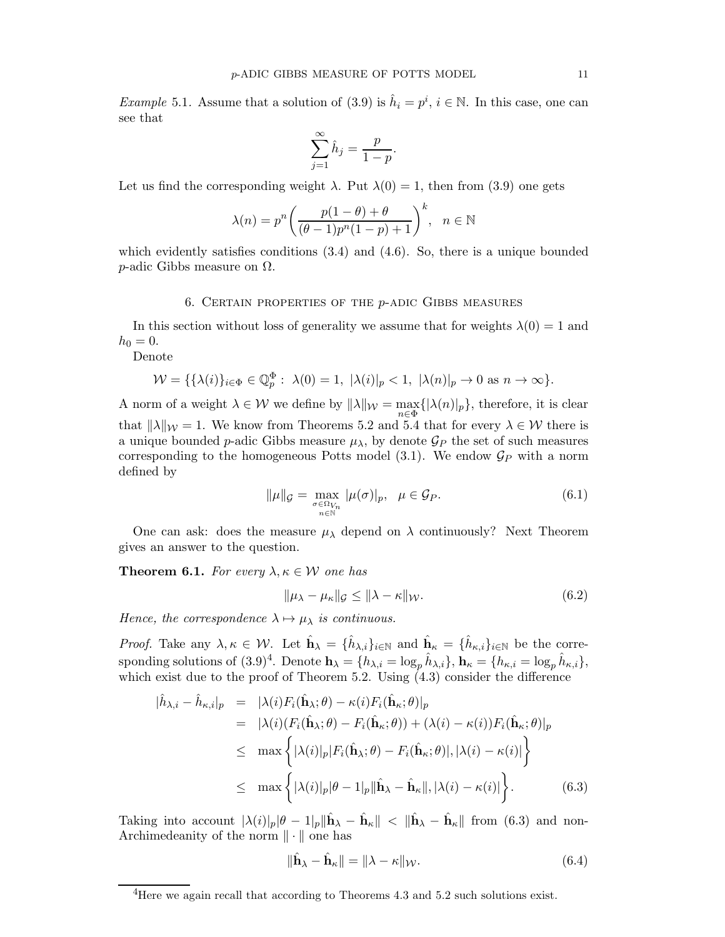*Example* 5.1. Assume that a solution of (3.9) is  $\hat{h}_i = p^i$ ,  $i \in \mathbb{N}$ . In this case, one can see that

$$
\sum_{j=1}^{\infty} \hat{h}_j = \frac{p}{1-p}.
$$

Let us find the corresponding weight  $\lambda$ . Put  $\lambda(0) = 1$ , then from (3.9) one gets

$$
\lambda(n) = p^n \left( \frac{p(1-\theta) + \theta}{(\theta - 1)p^n(1-p) + 1} \right)^k, \quad n \in \mathbb{N}
$$

which evidently satisfies conditions  $(3.4)$  and  $(4.6)$ . So, there is a unique bounded p-adic Gibbs measure on Ω.

### 6. Certain properties of the p-adic Gibbs measures

In this section without loss of generality we assume that for weights  $\lambda(0) = 1$  and  $h_0 = 0.$ 

Denote

$$
\mathcal{W} = \{ \{\lambda(i)\}_{i \in \Phi} \in \mathbb{Q}_p^{\Phi} : \ \lambda(0) = 1, \ |\lambda(i)|_p < 1, \ |\lambda(n)|_p \to 0 \text{ as } n \to \infty \}.
$$

A norm of a weight  $\lambda \in \mathcal{W}$  we define by  $\|\lambda\|_{\mathcal{W}} = \max_{n \in \Phi} \{ |\lambda(n)|_p \}$ , therefore, it is clear that  $\|\lambda\|_{\mathcal{W}} = 1$ . We know from Theorems 5.2 and 5.4 that for every  $\lambda \in \mathcal{W}$  there is a unique bounded *p*-adic Gibbs measure  $\mu_{\lambda}$ , by denote  $\mathcal{G}_P$  the set of such measures corresponding to the homogeneous Potts model  $(3.1)$ . We endow  $\mathcal{G}_P$  with a norm defined by

$$
\|\mu\|_{\mathcal{G}} = \max_{\substack{\sigma \in \Omega_{V_n} \\ n \in \mathbb{N}}} |\mu(\sigma)|_p, \quad \mu \in \mathcal{G}_P.
$$
 (6.1)

One can ask: does the measure  $\mu_{\lambda}$  depend on  $\lambda$  continuously? Next Theorem gives an answer to the question.

**Theorem 6.1.** For every  $\lambda, \kappa \in \mathcal{W}$  one has

$$
\|\mu_{\lambda} - \mu_{\kappa}\|_{\mathcal{G}} \le \|\lambda - \kappa\|_{\mathcal{W}}.\tag{6.2}
$$

*Hence, the correspondence*  $\lambda \mapsto \mu_{\lambda}$  *is continuous.* 

*Proof.* Take any  $\lambda, \kappa \in \mathcal{W}$ . Let  $\hat{\mathbf{h}}_{\lambda} = \{\hat{h}_{\lambda,i}\}_{i \in \mathbb{N}}$  and  $\hat{\mathbf{h}}_{\kappa} = \{\hat{h}_{\kappa,i}\}_{i \in \mathbb{N}}$  be the corresponding solutions of  $(3.9)^4$ . Denote  $\mathbf{h}_{\lambda} = \{h_{\lambda,i} = \log_p \hat{h}_{\lambda,i}\}, \mathbf{h}_{\kappa} = \{h_{\kappa,i} = \log_p \hat{h}_{\kappa,i}\},\$ which exist due to the proof of Theorem 5.2. Using  $(4.3)$  consider the difference

$$
\begin{split}\n|\hat{h}_{\lambda,i} - \hat{h}_{\kappa,i}|_p &= |\lambda(i)F_i(\hat{\mathbf{h}}_{\lambda};\theta) - \kappa(i)F_i(\hat{\mathbf{h}}_{\kappa};\theta)|_p \\
&= |\lambda(i)(F_i(\hat{\mathbf{h}}_{\lambda};\theta) - F_i(\hat{\mathbf{h}}_{\kappa};\theta)) + (\lambda(i) - \kappa(i))F_i(\hat{\mathbf{h}}_{\kappa};\theta)|_p \\
&\leq \max \left\{ |\lambda(i)|_p | F_i(\hat{\mathbf{h}}_{\lambda};\theta) - F_i(\hat{\mathbf{h}}_{\kappa};\theta)|, |\lambda(i) - \kappa(i)| \right\} \\
&\leq \max \left\{ |\lambda(i)|_p |\theta - 1|_p \|\hat{\mathbf{h}}_{\lambda} - \hat{\mathbf{h}}_{\kappa}\|, |\lambda(i) - \kappa(i)| \right\}.\n\end{split} \tag{6.3}
$$

Taking into account  $|\lambda(i)|_p|\theta-1|_p\|\hat{\mathbf{h}}_{\lambda}-\hat{\mathbf{h}}_{\kappa}\| < \|\hat{\mathbf{h}}_{\lambda}-\hat{\mathbf{h}}_{\kappa}\|$  from (6.3) and non-Archimedeanity of the norm  $\|\cdot\|$  one has

$$
\|\hat{\mathbf{h}}_{\lambda} - \hat{\mathbf{h}}_{\kappa}\| = \|\lambda - \kappa\|_{\mathcal{W}}.\tag{6.4}
$$

<sup>&</sup>lt;sup>4</sup>Here we again recall that according to Theorems 4.3 and 5.2 such solutions exist.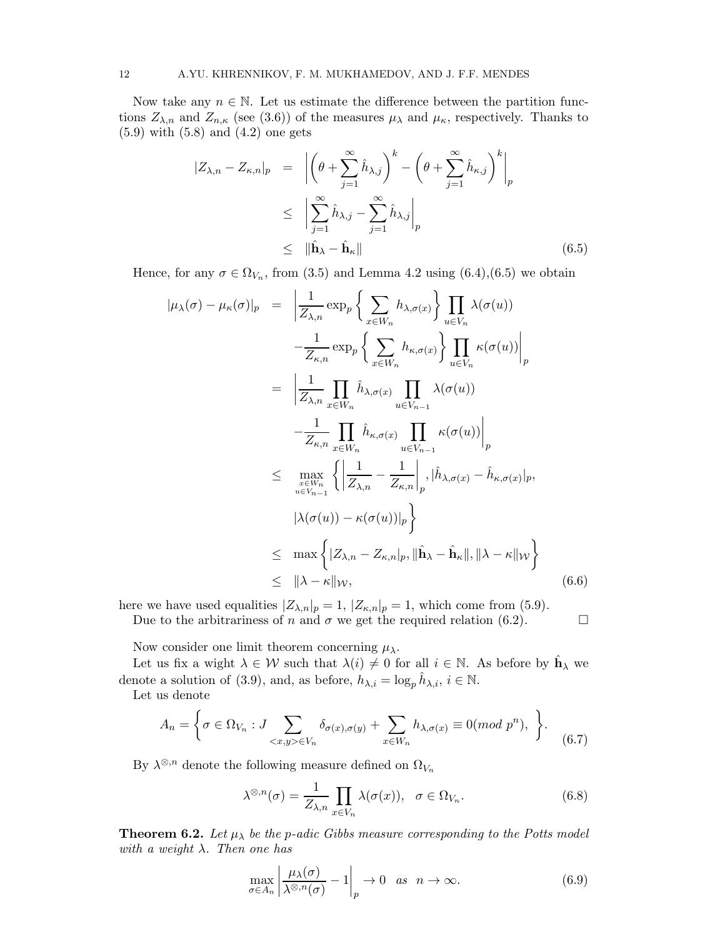Now take any  $n \in \mathbb{N}$ . Let us estimate the difference between the partition functions  $Z_{\lambda,n}$  and  $Z_{n,\kappa}$  (see (3.6)) of the measures  $\mu_{\lambda}$  and  $\mu_{\kappa}$ , respectively. Thanks to (5.9) with (5.8) and (4.2) one gets

$$
|Z_{\lambda,n} - Z_{\kappa,n}|_p = \left| \left( \theta + \sum_{j=1}^{\infty} \hat{h}_{\lambda,j} \right)^k - \left( \theta + \sum_{j=1}^{\infty} \hat{h}_{\kappa,j} \right)^k \right|_p
$$
  

$$
\leq \left| \sum_{j=1}^{\infty} \hat{h}_{\lambda,j} - \sum_{j=1}^{\infty} \hat{h}_{\lambda,j} \right|_p
$$
  

$$
\leq \left\| \hat{\mathbf{h}}_{\lambda} - \hat{\mathbf{h}}_{\kappa} \right\| \tag{6.5}
$$

Hence, for any  $\sigma \in \Omega_{V_n}$ , from (3.5) and Lemma 4.2 using (6.4), (6.5) we obtain

$$
|\mu_{\lambda}(\sigma) - \mu_{\kappa}(\sigma)|_{p} = \left| \frac{1}{Z_{\lambda,n}} \exp_{p} \left\{ \sum_{x \in W_{n}} h_{\lambda,\sigma(x)} \right\} \prod_{u \in V_{n}} \lambda(\sigma(u)) - \frac{1}{Z_{\kappa,n}} \exp_{p} \left\{ \sum_{x \in W_{n}} h_{\kappa,\sigma(x)} \right\} \prod_{u \in V_{n}} \kappa(\sigma(u)) \Big|_{p}
$$
  
\n
$$
= \left| \frac{1}{Z_{\lambda,n}} \prod_{x \in W_{n}} \hat{h}_{\lambda,\sigma(x)} \prod_{u \in V_{n-1}} \lambda(\sigma(u)) - \frac{1}{Z_{\kappa,n}} \prod_{x \in W_{n}} \hat{h}_{\kappa,\sigma(x)} \prod_{u \in V_{n-1}} \kappa(\sigma(u)) \right|_{p}
$$
  
\n
$$
\leq \max_{\substack{x \in W_{n} \\ u \in V_{n-1}}} \left\{ \left| \frac{1}{Z_{\lambda,n}} - \frac{1}{Z_{\kappa,n}} \right|_{p}, \left| \hat{h}_{\lambda,\sigma(x)} - \hat{h}_{\kappa,\sigma(x)} \right|_{p}, \left| \lambda(\sigma(u)) - \kappa(\sigma(u)) \right|_{p} \right\}
$$
  
\n
$$
\leq \max \left\{ |Z_{\lambda,n} - Z_{\kappa,n}|_{p}, \|\hat{\mathbf{h}}_{\lambda} - \hat{\mathbf{h}}_{\kappa}\|, \|\lambda - \kappa\|_{W} \right\}
$$
  
\n
$$
\leq \|\lambda - \kappa\|_{W}, \tag{6.6}
$$

here we have used equalities  $|Z_{\lambda,n}|_p = 1$ ,  $|Z_{\kappa,n}|_p = 1$ , which come from (5.9).

Due to the arbitrariness of n and  $\sigma$  we get the required relation (6.2).

Now consider one limit theorem concerning  $\mu_{\lambda}$ .

Let us fix a wight  $\lambda \in \mathcal{W}$  such that  $\lambda(i) \neq 0$  for all  $i \in \mathbb{N}$ . As before by  $\hat{\mathbf{h}}_{\lambda}$  we denote a solution of (3.9), and, as before,  $h_{\lambda,i} = \log_p \hat{h}_{\lambda,i}, i \in \mathbb{N}$ .

Let us denote

$$
A_n = \left\{ \sigma \in \Omega_{V_n} : J \sum_{\langle x, y \rangle \in V_n} \delta_{\sigma(x), \sigma(y)} + \sum_{x \in W_n} h_{\lambda, \sigma(x)} \equiv 0 \pmod{p^n}, \right\}.
$$
 (6.7)

By  $\lambda^{\otimes,n}$  denote the following measure defined on  $\Omega_{V_n}$ 

$$
\lambda^{\otimes,n}(\sigma) = \frac{1}{Z_{\lambda,n}} \prod_{x \in V_n} \lambda(\sigma(x)), \quad \sigma \in \Omega_{V_n}.
$$
 (6.8)

**Theorem 6.2.** Let  $\mu_{\lambda}$  be the p-adic Gibbs measure corresponding to the Potts model *with a weight* λ*. Then one has*

$$
\max_{\sigma \in A_n} \left| \frac{\mu_\lambda(\sigma)}{\lambda^{\otimes, n}(\sigma)} - 1 \right|_p \to 0 \quad \text{as} \quad n \to \infty. \tag{6.9}
$$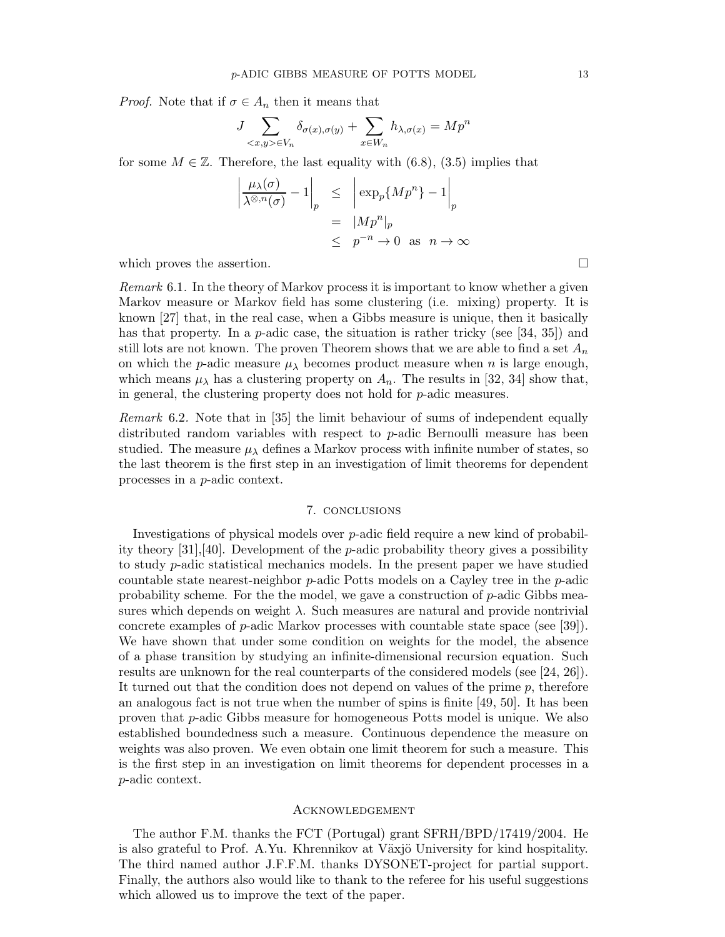*Proof.* Note that if  $\sigma \in A_n$  then it means that

$$
J\sum_{\langle x,y\rangle\in V_n}\delta_{\sigma(x),\sigma(y)} + \sum_{x\in W_n}h_{\lambda,\sigma(x)} = Mp^n
$$

for some  $M \in \mathbb{Z}$ . Therefore, the last equality with (6.8), (3.5) implies that

$$
\left| \frac{\mu_{\lambda}(\sigma)}{\lambda^{\otimes n}(\sigma)} - 1 \right|_{p} \leq \left| \exp_{p}\{Mp^{n}\} - 1 \right|_{p}
$$

$$
= \left| Mp^{n} \right|_{p}
$$

$$
\leq p^{-n} \to 0 \text{ as } n \to \infty
$$

which proves the assertion.  $\Box$ 

*Remark* 6.1*.* In the theory of Markov process it is important to know whether a given Markov measure or Markov field has some clustering (i.e. mixing) property. It is known [27] that, in the real case, when a Gibbs measure is unique, then it basically has that property. In a *p*-adic case, the situation is rather tricky (see [34, 35]) and still lots are not known. The proven Theorem shows that we are able to find a set  $A_n$ on which the *p*-adic measure  $\mu_{\lambda}$  becomes product measure when *n* is large enough, which means  $\mu_{\lambda}$  has a clustering property on  $A_n$ . The results in [32, 34] show that, in general, the clustering property does not hold for p-adic measures.

*Remark* 6.2*.* Note that in [35] the limit behaviour of sums of independent equally distributed random variables with respect to p-adic Bernoulli measure has been studied. The measure  $\mu_{\lambda}$  defines a Markov process with infinite number of states, so the last theorem is the first step in an investigation of limit theorems for dependent processes in a p-adic context.

### 7. conclusions

Investigations of physical models over  $p$ -adic field require a new kind of probability theory [31],[40]. Development of the p-adic probability theory gives a possibility to study p-adic statistical mechanics models. In the present paper we have studied countable state nearest-neighbor p-adic Potts models on a Cayley tree in the p-adic probability scheme. For the the model, we gave a construction of p-adic Gibbs measures which depends on weight  $\lambda$ . Such measures are natural and provide nontrivial concrete examples of p-adic Markov processes with countable state space (see [39]). We have shown that under some condition on weights for the model, the absence of a phase transition by studying an infinite-dimensional recursion equation. Such results are unknown for the real counterparts of the considered models (see [24, 26]). It turned out that the condition does not depend on values of the prime p, therefore an analogous fact is not true when the number of spins is finite [49, 50]. It has been proven that p-adic Gibbs measure for homogeneous Potts model is unique. We also established boundedness such a measure. Continuous dependence the measure on weights was also proven. We even obtain one limit theorem for such a measure. This is the first step in an investigation on limit theorems for dependent processes in a p-adic context.

#### Acknowledgement

The author F.M. thanks the FCT (Portugal) grant SFRH/BPD/17419/2004. He is also grateful to Prof. A.Yu. Khrennikov at Växjö University for kind hospitality. The third named author J.F.F.M. thanks DYSONET-project for partial support. Finally, the authors also would like to thank to the referee for his useful suggestions which allowed us to improve the text of the paper.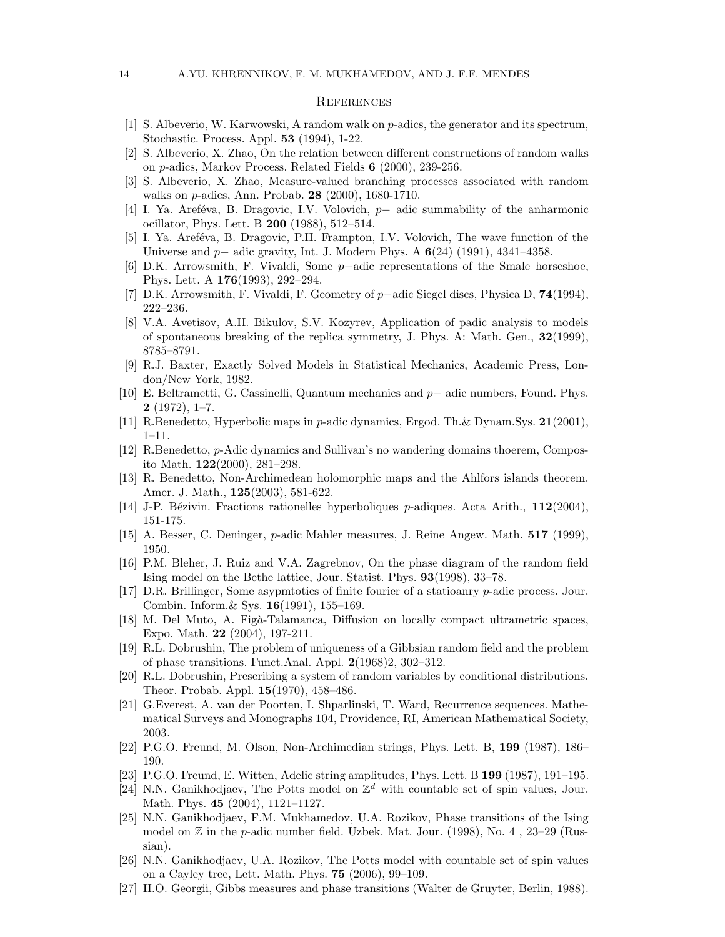#### **REFERENCES**

- [1] S. Albeverio, W. Karwowski, A random walk on p-adics, the generator and its spectrum, Stochastic. Process. Appl. 53 (1994), 1-22.
- [2] S. Albeverio, X. Zhao, On the relation between different constructions of random walks on p-adics, Markov Process. Related Fields 6 (2000), 239-256.
- [3] S. Albeverio, X. Zhao, Measure-valued branching processes associated with random walks on p-adics, Ann. Probab. 28 (2000), 1680-1710.
- [4] I. Ya. Aref´eva, B. Dragovic, I.V. Volovich, p− adic summability of the anharmonic ocillator, Phys. Lett. B 200 (1988), 512–514.
- [5] I. Ya. Areféva, B. Dragovic, P.H. Frampton, I.V. Volovich, The wave function of the Universe and p− adic gravity, Int. J. Modern Phys. A 6(24) (1991), 4341–4358.
- [6] D.K. Arrowsmith, F. Vivaldi, Some p−adic representations of the Smale horseshoe, Phys. Lett. A 176(1993), 292–294.
- [7] D.K. Arrowsmith, F. Vivaldi, F. Geometry of p−adic Siegel discs, Physica D, 74(1994), 222–236.
- [8] V.A. Avetisov, A.H. Bikulov, S.V. Kozyrev, Application of padic analysis to models of spontaneous breaking of the replica symmetry, J. Phys. A: Math. Gen., 32(1999), 8785–8791.
- [9] R.J. Baxter, Exactly Solved Models in Statistical Mechanics, Academic Press, London/New York, 1982.
- [10] E. Beltrametti, G. Cassinelli, Quantum mechanics and p− adic numbers, Found. Phys.  $2(1972), 1-7.$
- [11] R.Benedetto, Hyperbolic maps in p-adic dynamics, Ergod. Th.& Dynam.Sys. 21(2001), 1–11.
- [12] R.Benedetto, p-Adic dynamics and Sullivan's no wandering domains thoerem, Composito Math. 122(2000), 281–298.
- [13] R. Benedetto, Non-Archimedean holomorphic maps and the Ahlfors islands theorem. Amer. J. Math., 125(2003), 581-622.
- [14] J-P. Bézivin. Fractions rationelles hyperboliques p-adiques. Acta Arith.,  $112(2004)$ , 151-175.
- [15] A. Besser, C. Deninger, p-adic Mahler measures, J. Reine Angew. Math. 517 (1999), 1950.
- [16] P.M. Bleher, J. Ruiz and V.A. Zagrebnov, On the phase diagram of the random field Ising model on the Bethe lattice, Jour. Statist. Phys. 93(1998), 33–78.
- [17] D.R. Brillinger, Some asypmtotics of finite fourier of a statioanry p-adic process. Jour. Combin. Inform.& Sys. 16(1991), 155–169.
- [18] M. Del Muto, A. Figà-Talamanca, Diffusion on locally compact ultrametric spaces, Expo. Math. 22 (2004), 197-211.
- [19] R.L. Dobrushin, The problem of uniqueness of a Gibbsian random field and the problem of phase transitions. Funct.Anal. Appl. 2(1968)2, 302–312.
- [20] R.L. Dobrushin, Prescribing a system of random variables by conditional distributions. Theor. Probab. Appl. 15(1970), 458–486.
- [21] G.Everest, A. van der Poorten, I. Shparlinski, T. Ward, Recurrence sequences. Mathematical Surveys and Monographs 104, Providence, RI, American Mathematical Society, 2003.
- [22] P.G.O. Freund, M. Olson, Non-Archimedian strings, Phys. Lett. B, 199 (1987), 186– 190.
- [23] P.G.O. Freund, E. Witten, Adelic string amplitudes, Phys. Lett. B 199 (1987), 191–195.
- [24] N.N. Ganikhodjaev, The Potts model on  $\mathbb{Z}^d$  with countable set of spin values, Jour. Math. Phys. 45 (2004), 1121–1127.
- [25] N.N. Ganikhodjaev, F.M. Mukhamedov, U.A. Rozikov, Phase transitions of the Ising model on  $\mathbb Z$  in the *p*-adic number field. Uzbek. Mat. Jour. (1998), No. 4, 23–29 (Russian).
- [26] N.N. Ganikhodjaev, U.A. Rozikov, The Potts model with countable set of spin values on a Cayley tree, Lett. Math. Phys. 75 (2006), 99–109.
- [27] H.O. Georgii, Gibbs measures and phase transitions (Walter de Gruyter, Berlin, 1988).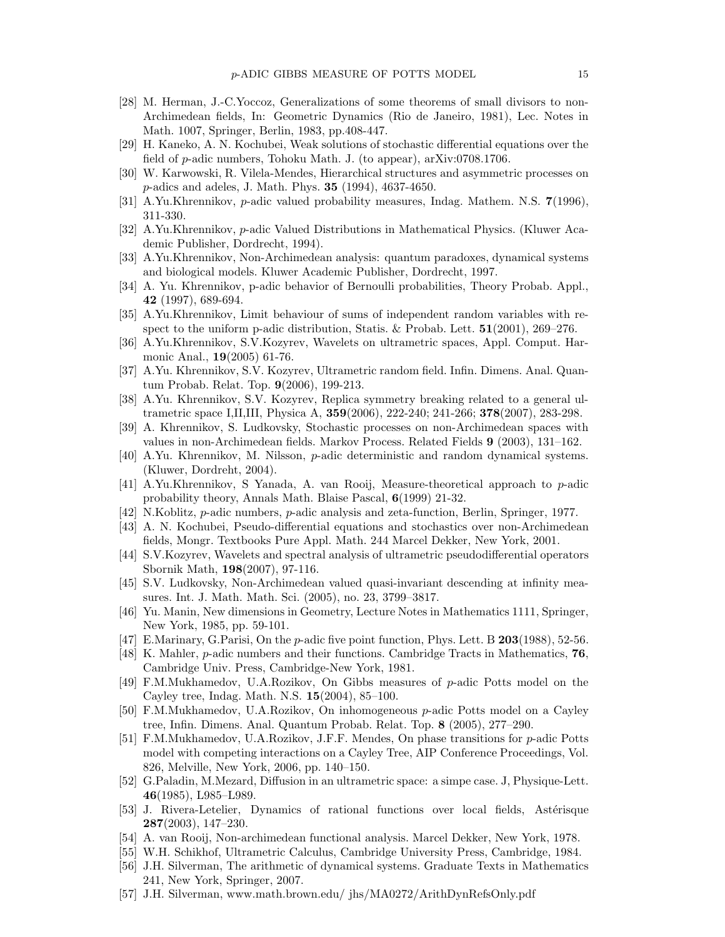- [28] M. Herman, J.-C.Yoccoz, Generalizations of some theorems of small divisors to non-Archimedean fields, In: Geometric Dynamics (Rio de Janeiro, 1981), Lec. Notes in Math. 1007, Springer, Berlin, 1983, pp.408-447.
- [29] H. Kaneko, A. N. Kochubei, Weak solutions of stochastic differential equations over the field of p-adic numbers, Tohoku Math. J. (to appear), arXiv:0708.1706.
- [30] W. Karwowski, R. Vilela-Mendes, Hierarchical structures and asymmetric processes on p-adics and adeles, J. Math. Phys. 35 (1994), 4637-4650.
- [31] A.Yu.Khrennikov, p-adic valued probability measures, Indag. Mathem. N.S. 7(1996), 311-330.
- [32] A.Yu.Khrennikov, p-adic Valued Distributions in Mathematical Physics. (Kluwer Academic Publisher, Dordrecht, 1994).
- [33] A.Yu.Khrennikov, Non-Archimedean analysis: quantum paradoxes, dynamical systems and biological models. Kluwer Academic Publisher, Dordrecht, 1997.
- [34] A. Yu. Khrennikov, p-adic behavior of Bernoulli probabilities, Theory Probab. Appl., 42 (1997), 689-694.
- [35] A.Yu.Khrennikov, Limit behaviour of sums of independent random variables with respect to the uniform p-adic distribution, Statis. & Probab. Lett.  $51(2001)$ ,  $269-276$ .
- [36] A.Yu.Khrennikov, S.V.Kozyrev, Wavelets on ultrametric spaces, Appl. Comput. Harmonic Anal., 19(2005) 61-76.
- [37] A.Yu. Khrennikov, S.V. Kozyrev, Ultrametric random field. Infin. Dimens. Anal. Quantum Probab. Relat. Top. 9(2006), 199-213.
- [38] A.Yu. Khrennikov, S.V. Kozyrev, Replica symmetry breaking related to a general ultrametric space I,II,III, Physica A, 359(2006), 222-240; 241-266; 378(2007), 283-298.
- [39] A. Khrennikov, S. Ludkovsky, Stochastic processes on non-Archimedean spaces with values in non-Archimedean fields. Markov Process. Related Fields 9 (2003), 131–162.
- [40] A.Yu. Khrennikov, M. Nilsson, p-adic deterministic and random dynamical systems. (Kluwer, Dordreht, 2004).
- [41] A.Yu.Khrennikov, S Yanada, A. van Rooij, Measure-theoretical approach to p-adic probability theory, Annals Math. Blaise Pascal, 6(1999) 21-32.
- [42] N.Koblitz, p-adic numbers, p-adic analysis and zeta-function, Berlin, Springer, 1977.
- [43] A. N. Kochubei, Pseudo-differential equations and stochastics over non-Archimedean fields, Mongr. Textbooks Pure Appl. Math. 244 Marcel Dekker, New York, 2001.
- [44] S.V.Kozyrev, Wavelets and spectral analysis of ultrametric pseudodifferential operators Sbornik Math, 198(2007), 97-116.
- [45] S.V. Ludkovsky, Non-Archimedean valued quasi-invariant descending at infinity measures. Int. J. Math. Math. Sci. (2005), no. 23, 3799–3817.
- [46] Yu. Manin, New dimensions in Geometry, Lecture Notes in Mathematics 1111, Springer, New York, 1985, pp. 59-101.
- [47] E.Marinary, G.Parisi, On the p-adic five point function, Phys. Lett. B 203(1988), 52-56.
- [48] K. Mahler, p-adic numbers and their functions. Cambridge Tracts in Mathematics, 76, Cambridge Univ. Press, Cambridge-New York, 1981.
- [49] F.M.Mukhamedov, U.A.Rozikov, On Gibbs measures of p-adic Potts model on the Cayley tree, Indag. Math. N.S. 15(2004), 85–100.
- [50] F.M.Mukhamedov, U.A.Rozikov, On inhomogeneous p-adic Potts model on a Cayley tree, Infin. Dimens. Anal. Quantum Probab. Relat. Top. 8 (2005), 277–290.
- [51] F.M.Mukhamedov, U.A.Rozikov, J.F.F. Mendes, On phase transitions for p-adic Potts model with competing interactions on a Cayley Tree, AIP Conference Proceedings, Vol. 826, Melville, New York, 2006, pp. 140–150.
- [52] G.Paladin, M.Mezard, Diffusion in an ultrametric space: a simpe case. J, Physique-Lett. 46(1985), L985–L989.
- [53] J. Rivera-Letelier, Dynamics of rational functions over local fields, Astérisque 287(2003), 147–230.
- [54] A. van Rooij, Non-archimedean functional analysis. Marcel Dekker, New York, 1978.
- [55] W.H. Schikhof, Ultrametric Calculus, Cambridge University Press, Cambridge, 1984.
- [56] J.H. Silverman, The arithmetic of dynamical systems. Graduate Texts in Mathematics 241, New York, Springer, 2007.
- [57] J.H. Silverman, www.math.brown.edu/ jhs/MA0272/ArithDynRefsOnly.pdf